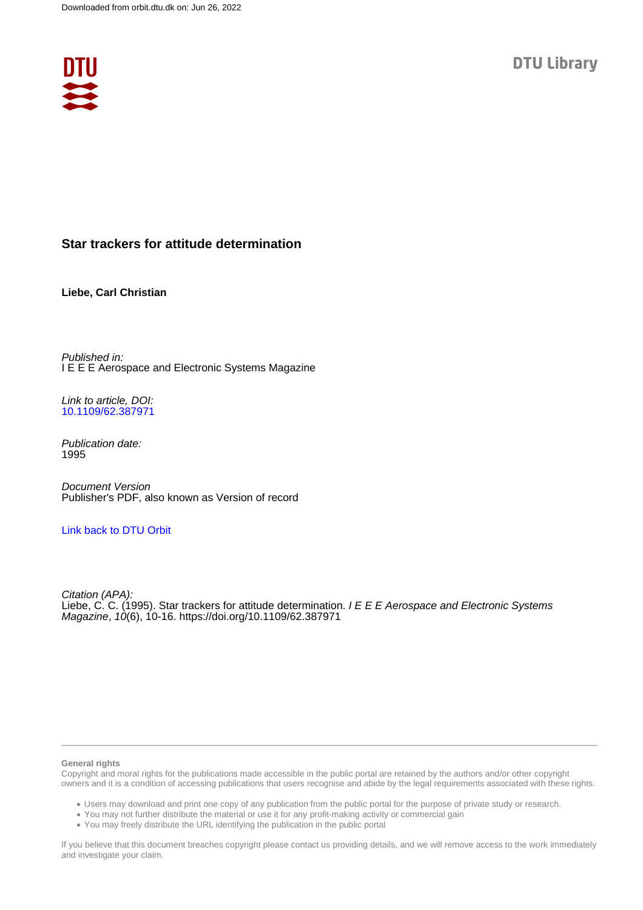

# **Star trackers for attitude determination**

**Liebe, Carl Christian**

Published in: I E E E Aerospace and Electronic Systems Magazine

Link to article, DOI: [10.1109/62.387971](https://doi.org/10.1109/62.387971)

Publication date: 1995

Document Version Publisher's PDF, also known as Version of record

# [Link back to DTU Orbit](https://orbit.dtu.dk/en/publications/2768ae6d-442a-4182-9fe0-fcefa858b832)

Citation (APA): Liebe, C. C. (1995). Star trackers for attitude determination. I E E E Aerospace and Electronic Systems Magazine, 10(6), 10-16. <https://doi.org/10.1109/62.387971>

#### **General rights**

Copyright and moral rights for the publications made accessible in the public portal are retained by the authors and/or other copyright owners and it is a condition of accessing publications that users recognise and abide by the legal requirements associated with these rights.

Users may download and print one copy of any publication from the public portal for the purpose of private study or research.

- You may not further distribute the material or use it for any profit-making activity or commercial gain
- You may freely distribute the URL identifying the publication in the public portal

If you believe that this document breaches copyright please contact us providing details, and we will remove access to the work immediately and investigate your claim.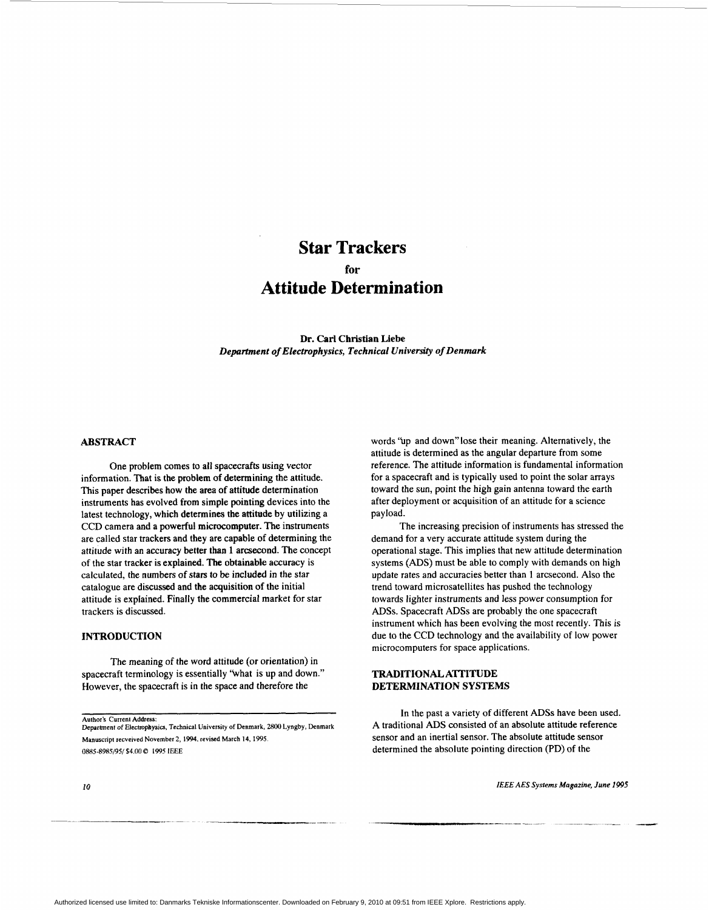# **Star Trackers Atti tude Determina tion for**

**Dr. Carl Christian Liebe**  *Department of Electrophysics, Technical Universily of Denmark* 

## **ABSTRACT**

One problem comes to all spacecrafts using vector information. That is the problem of determining the attitude. This paper describes how the area of attitude determination instruments has evolved from simple pointing devices into the latest technology, which determines the attitude by utilizing a CCD camera and a powerful microcomputer. The instruments are called star trackers and they are capable of determining the attitude with an accuracy better than 1 arcsecond. The concept of the star tracker is expfained. The obtainable accuracy is calculated, the numbers of stars to be included in the star catalogue are discussed and the acquisition of the initial attitude is explained. Finally the commercial market for star trackers is discussed.

### **INTRODUCTION**

The meaning of the word attitude (or orientation) in spacecraft terminology is essentially "what is up and down." However, the spacecraft is in the space and therefore the

Author's Current Address: *Department of* **Electmpbysics, Technical University** of **Denmark,** *2800* **Lyngby, Denmark Manuscnpt recveived November 2, 1994. revised March 14,1995**  *0885-8985/95/* **\$4** *00* Q **1995 IEEE** 

words "up and down" lose their meaning. Alternatively, the attitude is determined as the angular departure from some reference. The attitude information is fundamental information for a spacecraft and is typically used to point the solar arrays toward the sun, point the high gain antenna toward the earth after deployment or acquisition of an attitude for a science payload.

The increasing precision of instruments has stressed the demand for a very accurate attitude system during the operational stage. This implies that new attitude determination systems (ADS) must be able to comply with demands on high update rates and accuracies better than 1 arcsecond. Also the trend toward microsatellites has pushed the technology towards lighter instruments and less power consumption for *AD%.* Spacecraft *ADSs* are probably the one spacecraft instrument which has been evolving the most recently. This is due to the CCD technology and the availability of low power microcomputers for space applications.

#### **TRADITIONAL A'ITITUDE DETERMINATION SYSTEMS**

In the past a variety of different ADSs have been used. A traditional ADS consisted of an absolute attitude reference sensor and an inertial sensor. The absolute attitude sensor determined the absolute pointing direction (PD) of the

*10 IEEE AES Systems Magazine, June 1995*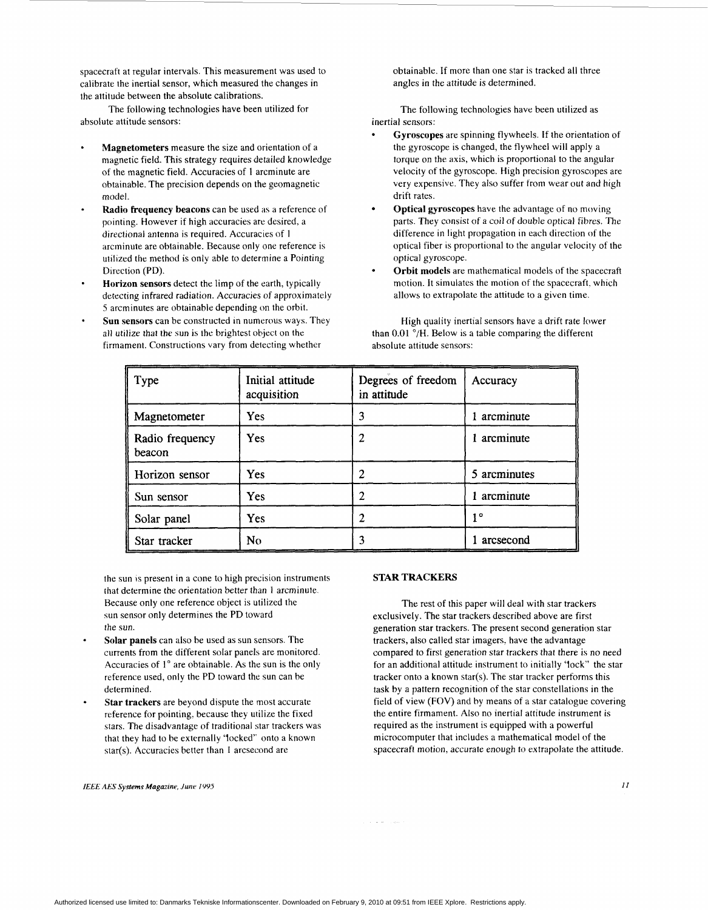spacecraft at regular intervals. This measurement was used to calibrate the inertial sensor, which measured the changes in the attitude between the absolute calibrations.

absolute attitude sensors: inertial sensors:

- **Magnetometers** measure the size and orientation of a magnetic field. This strategy requires detailed knowledge of the magnetic field. Accuracies of **1** arcminute are obtainable. The precision depends on the geomagnetic model.
- **Radio frequency beacons** can be used as a reference of pointing. However if high accuracies are desired, a directional antenna is required. Accuracies of **<sup>1</sup>** arcminute are obtainable. Hecause only one reference is utilized the method is only able to determine a Pointing Direction **(PD).**
- **Horizon sensors** detect the limp of the earth, typically detecting infrared radiation. Accuracies of approximately *5* arcminutes are obtainable depending on the orbit.
- **Sun sensors** can be constructed in numerous ways. They all utilize that the sun is the brightest object on the firmament. Constructions vary from detecting whether absolute attitude sensors:

obtainable. If more than one star is tracked all three angles in the attitude is determined.

The following technologies have been utilized for The following technologies have been utilized as

- **Gyroscopes** are spinning flywheels. If the orientation of the gyroscope is changed, the flywheel will apply a torque on the axis, which is proportional to the angular velocity of the gyroscope. High precision gyroscopes are very expensive. They also suffer from wear out and high drift rates.
- **Optical gyroscopes** have the advantage of no moving parts. They consist of a coil of double optical fibres. The difference in light propagation in each direction of the optical fiber **IS** proportional to the angular velocity of the optical gyroscope.
- **Orbit models** are mathematical models of the spacecraft motion. It simulates the motion of the spacecraft. which allows to extrapolate the attitude to a given time.

High quality inertial sensors have a drift rate lower than  $0.01$   $\degree$ /H. Below is a table comparing the different

| Type                      | Initial attitude<br>acquisition | Degrees of freedom<br>in attitude | Accuracy     |
|---------------------------|---------------------------------|-----------------------------------|--------------|
| Magnetometer              | <b>Yes</b>                      | 3                                 | 1 arcminute  |
| Radio frequency<br>beacon | Yes                             | 2                                 | arcminute    |
| Horizon sensor            | Yes                             | 2                                 | 5 arcminutes |
| Sun sensor                | Yes                             | າ                                 | arcminute    |
| Solar panel               | <b>Yes</b>                      | 2                                 | 10           |
| Star tracker              | No                              |                                   | arcsecond    |

the sun is present in a cone to high precision instruments that determine the orientation better than **1** arcminute. Because only one reference object is utilized the sun sensor only determines the PD toward the sun.

- **Solar panels** can also be used as sun sensors. The currents from the different solar panels are monitored. Accuracies of **<sup>1</sup>***O* are obtainable. As the sun is the only reference used, only the PD toward the sun can be determined.
- **Star trackers** are beyond dispute the most accurate reference for pointing, because they utilize the fixed stars. The disadvantage of traditional star trackers was that they had to be externally 'locked" onto a known star(s). Accuracies better than 1 arcsecond are

#### *IEEE AES Systems Magazine, June 199s I1*

#### **STAR TRACKERS**

The rest of this paper will deal with star trackers exclusively. The star trackers described above are first generation star trackers. The present second generation star trackers, also called star imagers, have the advantage compared to first generation star trackers that there is no need for an additional attitude instrument to initially 'lock" the star tracker onto a known star(s). The star tracker performs this task **by** a pattern recognition of the star constellations in the field of view **(FOV)** and by means of a star catalogue covering the entire firmament. Also no inertial attitude instrument is required as the instrument is equipped with a powerful microcomputer that includes a mathematical model of the spacecraft motion, accurate enough to extrapolate the attitude.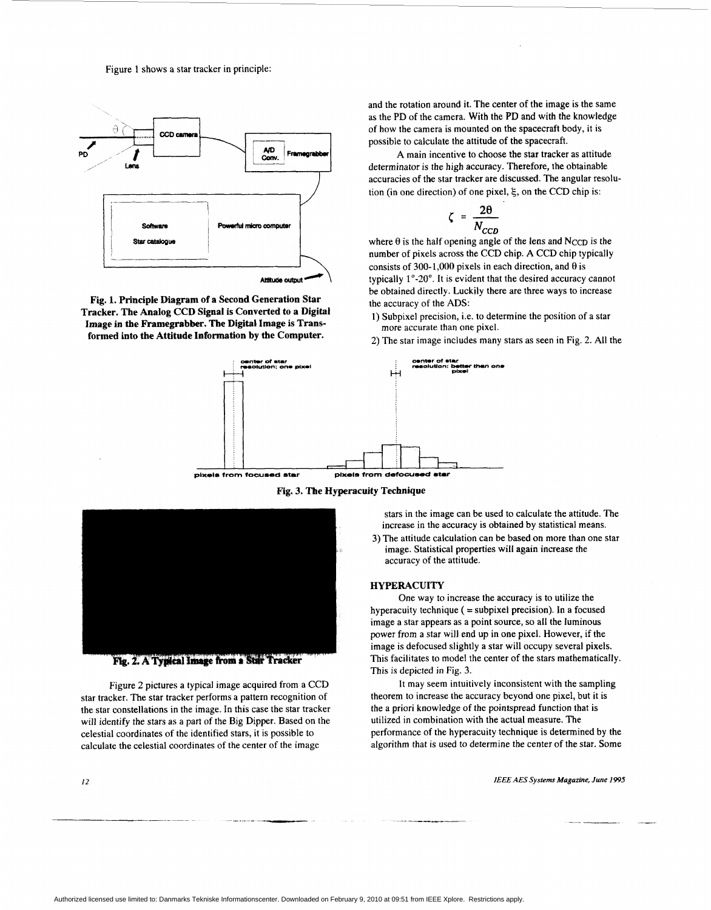Figure **1** shows a star tracker in principle:



**Fig. 1. Principle Diagram of a Second Generation Star Tracker. The Analog CCD Signal is Converted to a Digital**  Image in the Framegrabber. The Digital Image is Trans**formed into the Attitude Information by the Computer.** 

and the rotation around it. The center of the image is the same as the PD of the camera. With the PD and with the knowledge of how the camera is mounted on the spacecraft body, it is possible to calculate the attitude of the spacecraft.

determinator is the high accuracy. Therefore, the obtainable accuracies of the star tracker are discussed. The angular resolution (in one direction) of one pixel,  $\xi$ , on the CCD chip is:<br>  $\zeta = \frac{2\theta}{N_{CCD}}$ <br>
where  $\theta$  is the half opening angle of the lens and N<sub>CCD</sub> is the **A** main incentive to choose the **star** tracker as attitude

$$
\zeta = \frac{2\theta}{N_{CCD}}
$$

where  $\theta$  is the half opening angle of the lens and N<sub>CCD</sub> is the number of pixels across the **CCD** chip. **A CCD** chip typically consists of 300-1,000 pixels in each direction, and **8** is typically 1"-20". It is evident that the desired accuracy cannot be obtained directly. Luckily there are three ways to increase the accuracy of the *ADS:* 

- **1)** Subpixel precision, i.e. to determine the position of a star more accurate than one pixel.
- 2) The star image includes many stars as seen in Fig. 2. **All** the



**Fig. 3. The Hyperacuity Technique** 



Fig. 2. A Typical Image from a Star Tracker

Figure **2** pictures a typical image acquired from a CCD star tracker. The star tracker performs a pattern recognition of the star constellations in the image. In this case the star tracker will identify the stars as a part of the Big Dipper. Based on the celestial coordinates of the identified stars, it is possible to calculate the celestial coordinates of the center of the image

 $12$ 

stars in the image can be used to calculate the attitude. The increase in the accuracy is obtained by statistical means.

3) The attitude calculation can be based on more than one star image. Statistical properties will again increase the accuracy of the attitude.

#### **HYPERACUITY**

hyperacuity technique  $($  = subpixel precision). In a focused image a star appears as a point source, so all the luminous power from a star will end up in one pixel. However, if the image is defocused slightly a star will occupy several pixels. This facilitates to model the center of the stars mathematically. **This** is depicted in Fig. **3.**  One way to increase the accuracy is to utilize the

theorem to increase the accuracy beyond one pixel, but it is the a priori knowledge of the pointspread function that is utilized in combination with the actual measure. The performance of the hyperacuity technique is determined by the algorithm that is used to determine the center of the star. Some It may seem intuitively inconsistent with the sampling

*lEEE AES Sys!ems Magazine, June 1995*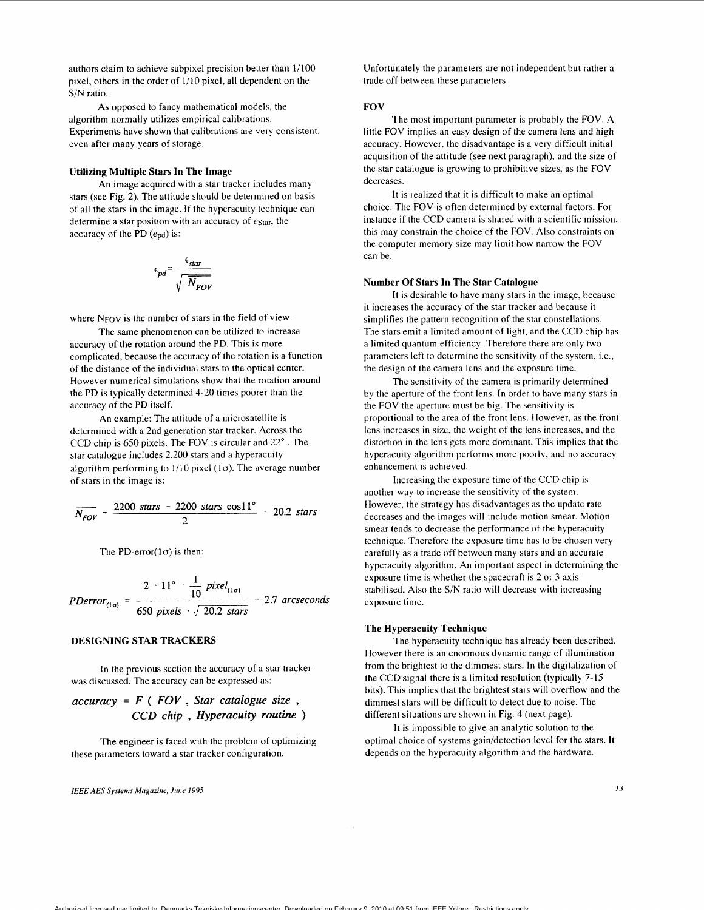authors claim to achieve subpixel precision better than 1/100 pixel, others in the order of 1/10 pixel, all dependent on the **S/N** ratio.

As opposed to fancy mathematical models, the algorithm normally utilizes empirical calibrations. Experiments have shown that calibrations are very consistent, even after many years of storage.

### **Utilizing Multiple Stars In The Image**

An image acquired with a star tracker includes many stars (see Fig. *2).* The attitude should be determined on basis of all the stars in the image. If the hyperacuity technique can determine a star position with an accuracy of  $\epsilon_{\text{Star}}$ , the accuracy of the PD  $(e_{pd})$  is:

$$
e_{pd} = \frac{e_{star}}{\sqrt{\frac{N_{FOV}}{N_{FOV}}}}
$$

where N<sub>FOV</sub> is the number of stars in the field of view.

The same phenomenon can be utilized **to** increase accuracy of the rotation around the PD. This is more complicated, because the accuracy of the rotation is a function of the distance of the individual stars to the optical center. However numerical simulations show that the rotation around the PD is typically determined **4-20** times poorer than the accuracy of the PD itself.

determined with a 2nd generation star tracker. Across the CCD chip is 650 pixels. The FOV is circular and *22"* . The star catalogue includes 2,200 stars and a hyperacuity algorithm performing to  $1/10$  pixel (1 $\sigma$ ). The average number of stars in the image is: **An** example: The attitude of a microsatellite is Example the set of the set of the set of the set of the stars catalogue includes 2,200 stars and a hyperacuity<br>Igorithm performing to 1/10 pixel (1 $\sigma$ ). The average number<br>f stars in the image is:<br> $\overline{N_{FOV}} = \frac{2200 \text{ stars}$ 

$$
\overline{N_{FOV}} = \frac{2200 \text{ stars} - 2200 \text{ stars} \cos 11^{\circ}}{2} = 20.2 \text{ stars}
$$

The PD-error $(1\sigma)$  is then:

$$
PDerror_{(1\sigma)} = \frac{2 \cdot 11^{\circ} \cdot \frac{1}{10} \text{ pixel}_{(1\sigma)}}{650 \text{ pixels} \cdot \sqrt{20.2 \text{ stars}}} = 2.7 \text{ arcseconds}
$$

#### **DESIGNING STAR TRACKERS**

In the previous section the accuracy of a star tracker was discussed. The accuracy can be expressed as:

# *accuracy* = *F* ( *FOV* , *Star catalogue size* , *CCD chip* , *Hyperacuity routine* )

The engineer is faced with the problem of optimizing these parameters toward a star tracker configuration.

*IEEE AES Systems Magazine, June 1995 I3* 

Unfortunately the parameters are not independent but rather a trade off between these parameters.

#### **FOV**

The most important parameter is probably the FOV. **A**  little FOV implies an easy design of the camera lens and high accuracy. However, the disadvantage is a very difficult initial acquisition of the attitude (see next paragraph), and the size of the star catalogue is growing to prohibitive sizes, as the FOV decreases.

It is realized that it is difficult to make an optimal choice. The FOV is often determined by external factors. For instance if the CCD camera is shared with a scientific mission, this may constrain the choice of the FOV. Also constraints on the computer memory size may limit how narrow the FOV can be.

#### **Number Of Stars In The Star Catalogue**

it increases the accuracy of the star tracker and because it simplifies the pattern recognition of the star constellations. The stars emit a limited amount of light, and the CCD chip has a limited quantum efficiency. Therefore there are only two parameters left to determine the sensitivity of the system, i.e., the design of the camera lens and the exposure time. It is desirable to have many stars in the image, because

by the aperture of the front lens. In order to have many stars in the FOV the aperture must be big. The sensitivity is proportional to the area of the front lens. However, as the front lens increases in size, the weight of the lens increases, and the distortion in the lens gets more dominant. This implies that the hyperacuity algorithm performs more poorly, and no accuracy enhancement is achieved. The sensitivity of the camera is primarily determined

Increasing the exposure time of the CCD chip is another way to increase the sensitivity of the system. However, thc strategy has disadvantages as the update rate decreases and the images will include motion smear. Motion smear tends to decrease the performance of the hyperacuity technique. Therefore the exposure time has to be chosen very carefully as a trade off between many stars and an accurate hyperacuity algorithm. An important aspect in determining the exposure time is whether the spacecraft is *2.* or 3 axis stabilised. Also the S/N ratio will decrease with increasing exposure time.

#### **The Hyperacuity 'Technique**

The hyperacuity technique has already been described. However there is an enormous dynamic range of illumination from the brightest to the dimmest stars. **In** the digitalization of the CCD signal there is a limited resolution (typically 7-15 bits). This implies that the brightest stars will overflow and the dimmest stars will be difficult to detect due to noise. The different situations are shown in [Fig.](#page-5-0) **4** (next page).

It is impossible to give an analytic solution to the optimal choice of systems gain/detection level for the stars. It depends on the hyperacuity algorithm and the hardware.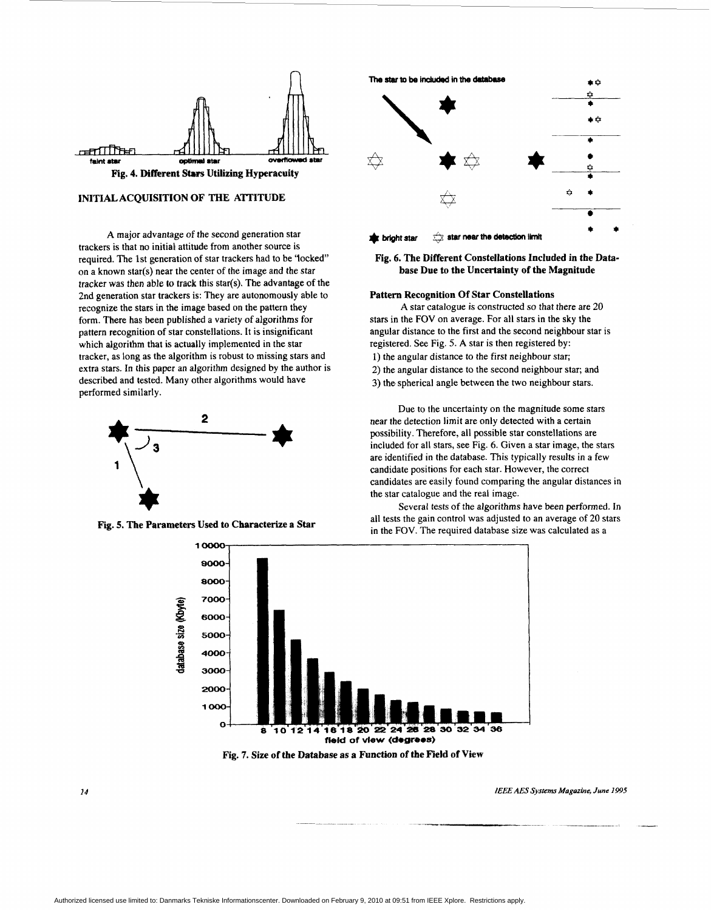<span id="page-5-0"></span>

#### **INITIAL ACQUISITION OF THE ATfITUDE**

*A* major advantage of the second generation star trackers is that no initial attitude from another source is required. The 1st generation of star trackers had to be 'locked" on a known star(s) near the center of the image and the star tracker *was* then able **to** track this star(s). The advantage of the 2nd generation star trackers is: They are autonomously able to recognize the stars in the image based on the pattern they form. There has been published a variety of algorithms for pattern recognition of star constellations. It is insignificant which algorithm that is actually implemented in the star tracker, as long as the algorithm is robust to missing stars and extra stars. In this paper an algorithm designed by the author is described and tested. Many other algorithms would have performed similarly.



#### **Fig. 5. The Parameters Used to Characterize a Star**



#### **Fig, 6. The Different Constellations Included in the Database Due to the Uncertainty of the Magnitude**

#### **Pattern Recognition Of Star Constellations**

stars in the **FOV** on average. For all stars in the sky the angular distance to the first and the second neighbour star is registered. See Fig. 5. A star is then registered by: 1) the angular distance to the first neighbour star; 2) the angular distance to the second neighbour star; and 3) the spherical angle between the two neighbour stars. **A** star catalogue is constructed so that there are 20

Due to the uncertainty on the magnitude some stars near the detection limit are only detected with a certain possibility. Therefore, all possible star constellations are included for all stars, see Fig. 6. Given a star image, the stars are identified in the database. This typically results in a few candidate positions for each star. However, the correct candidates are easily found comparing the angular distances in the star catalogue and the real image.

Several tests of the algorithms have been performed. In all tests the gain control was adjusted to an average of 20 stars in the FOV. The required database size was calculated as a



IEEE AES Systems Magazine, June 1995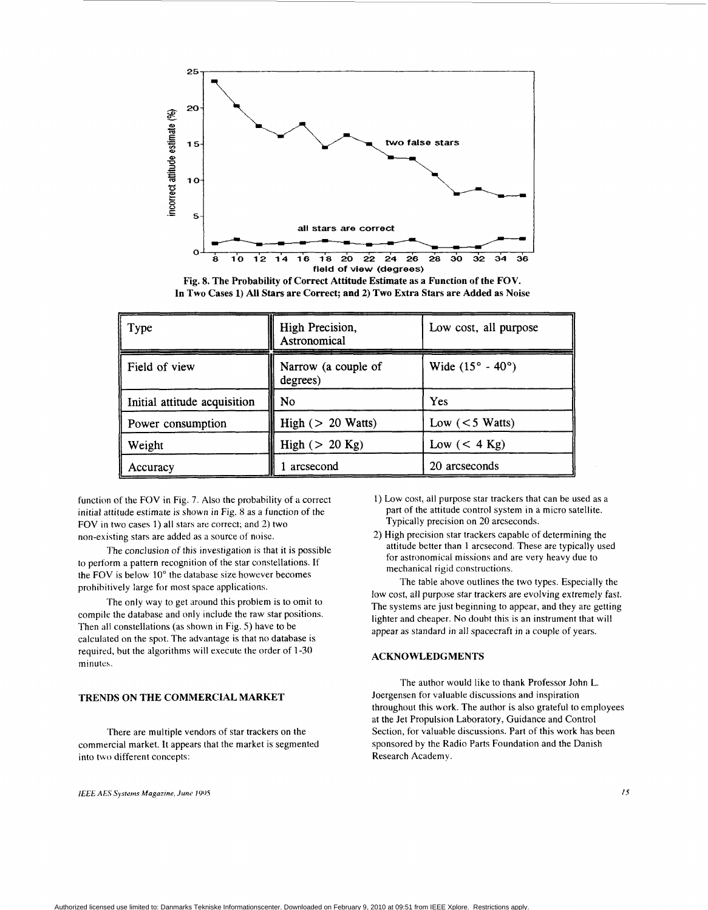

**Fig. 8. The Probability of Correct Attitude Estimate as a Function of the FOV. In Two Cases 1) All Stars are Correct; and 2) Two Extra Stars are Added as Noise** 

| Type                         | High Precision,<br>Astronomical | Low cost, all purpose            |
|------------------------------|---------------------------------|----------------------------------|
| Field of view                | Narrow (a couple of<br>degrees) | Wide $(15^{\circ} - 40^{\circ})$ |
| Initial attitude acquisition | No                              | Yes                              |
| Power consumption            | High $(> 20$ Watts)             | Low $(< 5$ Watts)                |
| Weight                       | High $(> 20$ Kg)                | Low $(< 4$ Kg)                   |
| Accuracy                     | arcsecond                       | 20 arcseconds                    |

function of the FOV in [Fig.](#page-5-0) **7.** Also the probability of a correct initial attitude estimate is shown in Fig. 8 as a function of the FOV in two cases 1) all stars are correct; and 2) two non-existing stars are added as a source of noise.

to perform a pattern recognition of the star constellations. If the FOV is below 10" the database size however becomes prohibitively large for most space applications. The conclusion of this investigation is that it is possible

The only way to get around this problem is to omit to compile the database and only include the raw star positions. Then all constellations (as shown in Fig. *5)* have to be calculated on the spot. The advantage is that no database is required, but the algorithms will execute the order of 1-30 minutes.

#### **TRENDS ON THE COMMERCIAL MARKET**

There are multiple vendors of star trackers on the commercial market. It appeats that the market is segmented into two different concepts:

*IEEE AES Systems Magazrne, June* **IYOS** *I5* 

- 1) Low cost, all purpose star trackers that can be used as a part of the attitude control system in a micro satellite. Typically precision on **20** arcseconds.
- 2) High precision star trackers capable of determining the attitude better than 1 arcsecond. These are typically used for astronomical missions and are very heavy due to mechanical rigid constructions.

The table above outlines the two types. Especially the low cost, all purpose star trackers are evolving extremely fast. The systems are just beginning to appear, and they are getting lighter and cheaper. No doubt this is an instrument that will appear as standard in all spacecraft in a couple of years.

#### **ACKNOWLEDGMENTS**

The author would like to thank Professor John L. Joergensen for valuable discussions and inspiration throughout this work. The author is also grateful to employees at the Jet Propulsion Laboratory, Guidance and Control Section, for valuable discussions. Part of this work has been sponsored by the Radio Parts Foundation and the Danish Research Academv.